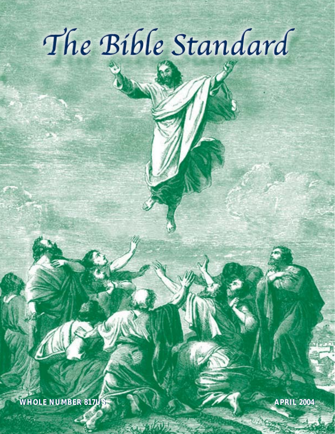# The Bible Standard

**WHOLE NUMBER 817US**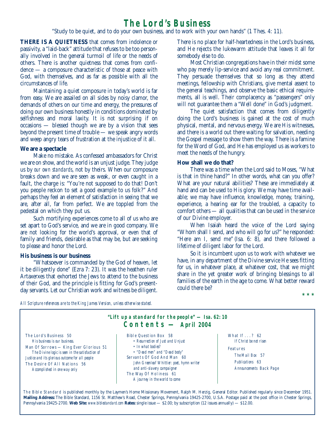# **The Lord's Business**

"Study to be quiet, and to do your own business, and to work with your own hands" (1 Thes. 4: 11).

**THERE IS A QUIETNESS** that comes from indolence or passivity, a "laid-back" attitude that refuses to be too personally involved in the general turmoil of life or the needs of others. There is another quietness that comes from confidence — a composure characteristic of those at peace with God, with themselves, and as far as possible with all the circumstances of life.

Maintaining a quiet composure in today's world is far from easy. We are assailed on all sides by noisy clamor, the demands of others on our time and energy, the pressures of doing our own business honestly in conditions dominated by selfishness and moral laxity. It is not surprising if on occasions — blessed though we are by a vision that sees beyond the present time of trouble — we speak angry words and weep angry tears of frustration at the injustice of it all.

# **We are a spectacle**

Make no mistake. As confessed ambassadors for Christ we are on show, and the world is an unjust judge. They judge us by *our own standards*, not by theirs. When our composure breaks down and we are seen as weak, or even caught in a fault, the charge is: "You're not supposed to do that! Don't you people reckon to set a good example to us folk?" And perhaps they feel an element of satisfaction in seeing that we are, after all, far from perfect. We are toppled from the pedestal on which they put us.

Such mortifying experiences come to all of us who are set apart to God's service, and we are in good company. We are not looking for the world's approval, or even that of family and friends, desirable as that may be, but are seeking to please and honor the Lord.

# **His business is our business**

"Whatsoever is commanded by the God of heaven, let it be diligently done" (Ezra 7: 23). It was the heathen ruler Artaxerxes that exhorted the Jews to attend to the business of their God, and the principle is fitting for God's presentday servants. Let our Christian work and witness be diligent.

There is no place for half-heartedness in the Lord's business, and He rejects the lukewarm attitude that leaves it all for somebody else to do.

Most Christian congregations have in their midst some who pay merely lip-service and avoid any real commitment. They persuade themselves that so long as they attend meetings, fellowship with Christians, give mental assent to the general teachings, and observe the basic ethical requirements, all is well. Their complacency as "passengers" only will not guarantee them a "Well done" in God's judgment.

The quiet satisfaction that comes from diligently doing the Lord's business is gained at the cost of much physical, mental, and nervous energy. We are His witnesses, and there is a world out there waiting for salvation, needing the Gospel message to show them the way. There is a famine for the Word of God, and He has employed us as workers to meet the needs of the hungry.

## **How shall we do that?**

There was a time when the Lord said to Moses, "What is that in thine hand?" In other words, what can you offer? What are your natural abilities? These are immediately at hand and can be used to His glory. We may have time available; we may have influence, knowledge, money, training, experience, a hearing ear for the troubled, a capacity to comfort others — all qualities that can be used in the service of our Divine employer.

When Isaiah heard the voice of the Lord saying "Whom shall I send, and who will go for us?" he responded: "Here am I, send me" (Isa. 6: 8), and there followed a lifetime of diligent labor for the Lord.

So it is incumbent upon us to work with whatever we have, in any department of the Divine service He sees fitting for us, in whatever place, at whatever cost, that we might share in the yet greater work of bringing blessings to all families of the earth in the age to come. What better reward could there be?

**\*\*\***

*All Scripture references are to the King James Version, unless otherwise stated.*



The Bible Standard is published monthly by the Laymen's Home Missionary Movement, Ralph M. Herzig, General Editor. Published regularly since December 1951. **Mailing Address:** The Bible Standard, 1156 St. Matthew's Road, Chester Springs, Pennsylvania 19425-2700, U.S.A. Postage paid at the post office in Chester Springs, Pennsylvania 19425-2700. **Web Site:** *www.biblestandard.com* **Rates:** single issue — \$2.00; by subscription (12 issues annually) — \$12.00.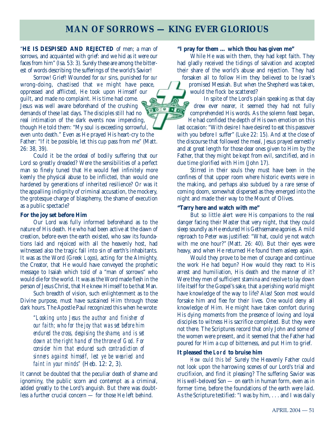# **MAN OF SORROWS — KING EVER GLORIOUS**

"**HE IS DESPISED AND REJECTED** of men; a man of sorrows, and acquainted with grief: and we hid as it were our faces from him" (Isa. 53: 3). Surely these are among the bitterest of words describing the sufferings of the world's Savior!

Sorrow! Grief! Wounded for *our* sins, punished for *our* wrong-doing, chastised that *we* might have peace, oppressed and afflicted, He took upon Himself our guilt, and made no complaint. His time had come. Jesus was well aware beforehand of the crushing бū demands of these last days. The disciples still had no real intimation of the dark events now impending, though He told them: "My soul is exceeding sorrowful, even unto death." Even as He prayed His heart-cry to the Father: "If it be possible, let this cup pass from me" (Matt. 26: 38, 39).

Could it be the ordeal of bodily suffering that our Lord so greatly dreaded? Were the sensibilities of a perfect man so finely tuned that He would feel infinitely more keenly the physical abuse to be inflicted, than would one hardened by generations of inherited resilience? Or was it the appalling indignity of criminal accusation, the mockery, the grotesque charge of blasphemy, the shame of execution as a public spectacle?

### **For the joy set before Him**

Our Lord was fully informed beforehand as to the nature of His death. He who had been active at the dawn of creation, before even the earth existed, who saw its foundations laid and rejoiced with all the heavenly host, had witnessed also the tragic fall into sin of earth's inhabitants. It was as the Word (Greek *Logos*), acting for the Almighty, the Creator, that He would have conveyed the prophetic message to Isaiah which told of a "man of sorrows" who would die for the world. It was as the Word made flesh in the person of Jesus Christ, that He knew Himself to be that Man.

Such breadth of vision, such enlightenment as to the Divine purpose, must have sustained Him through those dark hours. The Apostle Paul recognized this when he wrote:

*"Looking unto Jesus the author and finisher of our faith; who for the joy that was set before him endured the cross, despising the shame, and is set down at the right hand of the throne of God. For consider him that endured such contradiction of sinners against himself, lest ye be wearied and faint in your minds"* (Heb. 12: 2, 3).

It cannot be doubted that the peculiar death of shame and ignominy, the public scorn and contempt as a criminal, added greatly to the Lord's anguish. But there was doubtless a further crucial concern — for those He left behind.

# **"I pray for them … which thou has given me"**

While He was with them, they had kept faith. They had gladly received the tidings of salvation and accepted their share of the world's abuse and rejection. They had

forsaken all to follow Him they believed to be Israel's promised Messiah. But when the Shepherd was taken, would the flock be scattered?

In spite of the Lord's plain speaking as that day drew ever nearer, it seemed they had not fully comprehended His words. As the solemn feast began, He had confided the depth of His own emotion on this last occasion: "With desire I have desired to eat this passover with you before I suffer" (Luke 22: 15). And at the close of the discourse that followed the meal, Jesus prayed earnestly and at great length for those dear ones given to Him by the Father, that they might be kept from evil, sanctified, and in due time glorified with Him (John 17).

Stirred in their souls they must have been in the confines of that upper room where historic events were in the making, and perhaps also subdued by a rare sense of coming doom, somewhat dispersed as they emerged into the night and made their way to the Mount of Olives.

# **"Tarry here and watch with me"**

But so little alert were His companions to the real danger facing their Master that very night, that they could sleep soundly as He endured His Gethsemane agonies. A mild reproach to Peter was justified: "What, could ye not watch with me one hour?" (Matt. 26: 40). But their eyes were heavy, and when He returned He found them asleep again.

Would they prove to be men of courage and continue the work He had begun? How would they react to His arrest and humiliation, His death and the manner of it? Were they men of sufficient stamina and resolve to lay down life itself for the Gospel's sake, that a perishing world might have knowledge of the way to life? Alas! Soon most would forsake him and flee for their lives. One would deny all knowledge of Him. He might have taken comfort during His dying moments from the presence of loving and loyal disciples to witness His sacrifice completed. But they were not there. The Scriptures record that only John and some of the women were present, and it seemed that the Father had poured for Him a cup of bitterness, and put Him to grief.

# **It pleased the Lord to bruise him**

*How could this be?* Surely the Heavenly Father could not look upon the harrowing scenes of our Lord's trial and crucifixion, and find it pleasing? The suffering Savior was His well-beloved Son — on earth in human form, even as in former time, before the foundations of the earth were laid. As the Scripture testified: "I was by him, ... and I was daily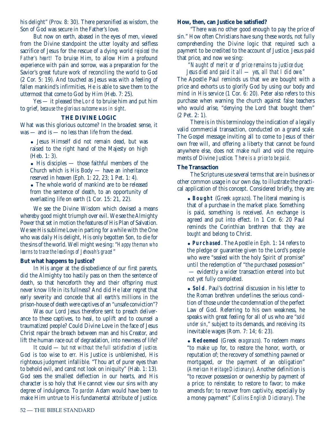his delight" (Prov. 8: 30). There personified as wisdom, the Son of God was secure in the Father's love.

But now on earth, abased in the eyes of men, viewed from the Divine standpoint the utter loyalty and selfless sacrifice of Jesus for the rescue of a dying world *rejoiced the Father's heart!* To bruise Him, to allow Him a profound experience with pain and sorrow, was a preparation for the Savior's great future work of reconciling the world to God (2 Cor. 5: 19). And touched as Jesus was with a feeling of fallen mankind's infirmities, He is able to save them to the uttermost that come to God by Him (Heb. 7: 25).

Yes — it pleased the Lord to bruise him and put him to grief, *because the glorious outcome was in sight*.

# **THE DIVINE LOGIC**

What was this glorious outcome? In the broadest sense, it was — and is — no less than life from the dead.

- Jesus Himself did not remain dead, but was raised to the right hand of the Majesty on high (Heb. 1: 3).
- His disciples those faithful members of the Church which is His Body — have an inheritance reserved in heaven (Eph. 1: 22, 23; 1 Pet. 1: 4).

 The whole world of mankind are to be released from the sentence of death, to an opportunity of everlasting life on earth (1 Cor. 15: 21, 22).

We see the Divine Wisdom which devised a means whereby good might triumph over evil. We see the Almighty Power that set in motion the features of His Plan of Salvation. We see His sublime Love in parting for a while with the One who was daily His delight, His only begotten Son, to die for the sins of the world. Well might we sing: "*Happy the man who learns to trace the leadings of Jehovah's grace!*"

#### **But what happens to Justice?**

In His anger at the disobedience of our first parents, did the Almighty too hastily pass on them the sentence of death, so that henceforth they and their offspring must never know life in its fullness? And did He later regret that early severity and concede that all earth's millions in the prison-house of death were captives of an "unsafe conviction"?

Was our Lord Jesus therefore sent to preach deliverance to these captives, to heal, to uplift and to counsel a traumatized people? Could Divine Love in the face of Jesus Christ repair the breach between man and his Creator, and lift the human race out of degradation, into newness of life?

It could — *but not without the full satisfaction of justice*. God is too wise to err. His Justice is unblemished, His righteous judgment infallible. "Thou art of purer eyes than to behold evil, and canst not look on iniquity" (Hab. 1: 13). God sees the smallest deflection in our hearts, and His character is so holy that He cannot view our sins with any degree of indulgence. To *pardon* Adam would have been to make Him untrue to His fundamental attribute of Justice.

# **How, then, can Justice be satisfied?**

"There was no other good enough to pay the price of sin." How often Christians have sung these words, not fully comprehending the Divine logic that required such a payment to be credited to the account of Justice. Jesus paid that price, and now we sing:

*"Naught of merit or of price remains to justice due;*

*Jesus died and paid it all — yes, all that I did owe."* The Apostle Paul reminds us that we are bought with a price and exhorts us to glorify God by using our body and mind in His service (1 Cor. 6: 20). Peter also refers to this purchase when warning the church against false teachers who would arise, "denying the Lord that bought them" (2 Pet. 2: 1).

There is in this terminology the indication of a legally valid commercial transaction, conducted on a grand scale. The Gospel message inviting all to come to Jesus of their own free will, and offering a liberty that cannot be found anywhere else, does not make null and void the requirements of Divine Justice. *There is a price to be paid.*

# **The Transaction**

The Scriptures use several terms that are in business or other common usage in our own day, to illustrate the practical application of this concept. Considered briefly, they are:

 **Bought** (Greek *agorazo*). The literal meaning is that of a purchase in the market place. Something is paid, something is received. An exchange is agreed and put into effect. In 1 Cor. 6: 20 Paul reminds the Corinthian brethren that they are *bought* and belong to Christ.

 **Purchased**. The Apostle in Eph. 1: 14 refers to the pledge or guarantee given to the Lord's people who were "sealed with the holy Spirit of promise" until the redemption of "the purchased possession" — evidently a wider transaction entered into but not yet fully completed.

 **Sold**. Paul's doctrinal discussion in his letter to the Roman brethren underlines the serious condition of those under the condemnation of the perfect Law of God. Referring to his own weakness, he speaks with great feeling for all of us who are "*sold under sin*," subject to its demands, and receiving its inevitable wages (Rom. 7: 14; 6: 23).

 **Redeemed** (Greek *exagorazo*). To redeem means "to make up for, to restore the honor, worth, or reputation of; the recovery of something pawned or mortgaged, or the payment of an obligation" (*American Heritage Dictionary*). Another definition is "to recover possession or ownership by payment of a price; to reinstate; to restore to favor; to make amends for; to recover from captivity, especially by a money payment" (*Collins English Dictionary*). The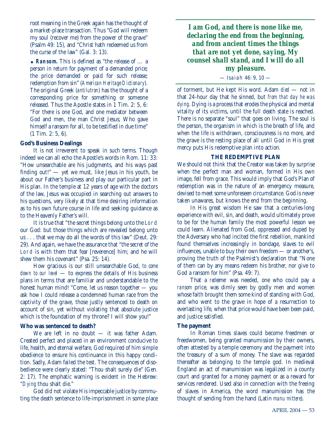root meaning in the Greek again has the thought of a market-place transaction. Thus "God will redeem my soul (recover me) from the power of the grave" (Psalm 49: 15), and "Christ hath redeemed us from the curse of the law" (Gal. 3: 13).

 **Ransom.** This is defined as "the release of … a person in return for payment of a demanded price; the price demanded or paid for such release; redemption from sin" (*American Heritage Dictionary*). The original Greek (*antilutron*) has the thought of a corresponding price for something or someone released. Thus the Apostle states in 1 Tim. 2: 5, 6: "For there is one God, and one mediator between God and men, the man Christ Jesus; Who gave himself a ransom for all, to be testified in due time" (1 Tim. 2: 5, 6).

## **God's Business Dealings**

It is not irreverent to speak in such terms. Though indeed we can all echo the Apostle's words in Rom. 11: 33: "How unsearchable are his judgments, and his ways past finding out!" — yet we must, like Jesus in his youth, be about our Father's business and play our particular part in His plan. In the temple at 12 years of age with the doctors of the law, Jesus was occupied in searching out answers to his questions, very likely at that time desiring information as to his own future course in life and seeking guidance as to the Heavenly Father's will.

It is true that "the secret things belong unto the Lord our God: but those things which are revealed belong unto us . . . that we may do all the words of this law" (Deut. 29: 29). And again, we have the assurance that "the secret of the Lord is with them that fear [reverence] him; and he will shew them his covenant" (Psa. 25: 14).

How gracious is our still unsearchable God, *to come down to our level* — to express the details of His business plans in terms that are familiar and understandable to the honest human mind! "Come, let us reason together — you ask how I could release a condemned human race from the captivity of the grave, those justly sentenced to death on account of sin, yet without violating that absolute justice which is the foundation of my throne? I will show you!"

## **Who was sentenced to death?**

We are left in no doubt — it was father Adam. Created perfect and placed in an environment conducive to life, health, and eternal welfare, God required of him simple obedience to ensure his continuance in this happy condition. Sadly, Adam failed the test. The consequences of disobedience were clearly stated: "Thou shalt surely die" (Gen. 2: 17). The emphatic warning is evident in the Hebrew: "*Dying* thou shalt die."

God did not violate His impeccable justice by commuting the death sentence to life-imprisonment in some place

*I am God, and there is none like me, declaring the end from the beginning, and from ancient times the things that are not yet done, saying, My counsel shall stand, and I will do all my pleasure.*

— Isaiah 46: 9, 10 —

of torment, but He kept His word. Adam *died* — not in that 24-hour day that he sinned, but *from that day he was dying.* Dying is a process that erodes the physical and mental vitality of its victims, until the full death state is reached. There is no separate "soul" that goes on living. The soul is the person, the organism in which is the breath of life, and when the life is withdrawn, consciousness is no more, and the grave is the resting place of all until God in His great mercy puts His redemptive plan into action.

# **THE REDEMPTIVE PLAN**

We should not think that the Creator was taken by surprise when the perfect man and woman, formed in His own image, fell from grace. This would imply that God's Plan of redemption was in the nature of an emergency measure, devised to meet some unforeseen circumstance. God is never taken unawares, but knows the end from the beginning.

In His great wisdom He saw that a centuries-long experience with evil, sin, and death, would ultimately prove to be for the human family the most powerful lesson we could learn. Alienated from God, oppressed and duped by the Adversary who had incited the first rebellion, mankind found themselves increasingly in bondage, slaves to evil influences, unable to buy their own freedom — or another's, proving the truth of the Psalmist's declaration that "None of them can by any means redeem his brother, nor give to God a ransom for him" (Psa. 49: 7).

That a *redeemer* was needed, one who could pay a *ransom* price, was dimly seen by godly men and women whose faith brought them some kind of standing with God, and who went to the grave in hope of a resurrection to everlasting life, when that price would have been been paid, and justice satisfied.

# **The payment**

In Roman times slaves could become freedmen or freedwomen, being granted manumission by their owners, often attested by a temple ceremony and the payment into the treasury of a sum of money. The slave was regarded thereafter as belonging to the temple god. In medieval England an act of manumission was legalized in a county court and granted for a money payment or as a reward for services rendered. Used also in connection with the freeing of slaves in America, the word manumission has the thought of sending from the hand (Latin *manu mittere*).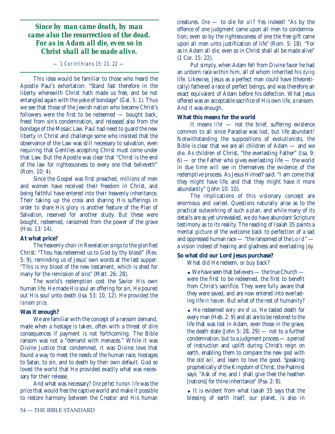# *Since by man came death, by man came also the resurrection of the dead. For as in Adam all die, even so in Christ shall all be made alive.*

— 1 Corinthians 15: 21, 22 —

This idea would be familiar to those who heard the Apostle Paul's exhortation: "Stand fast therefore in the liberty wherewith Christ hath made us free, and be not entangled again with the yoke of bondage" (Gal. 5: 1). Thus we see that those of the Jewish nation who became Christ's followers were the first to be redeemed — bought back, freed from sin's condemnation, and released also from the bondage of the Mosaic Law. Paul had need to guard the new liberty in Christ and challenge some who insisted that the observance of the Law was still necessary to salvation, even requiring that Gentiles accepting Christ must come under that Law. But the Apostle was clear that "Christ is the end of the law for righteousness to every one that believeth" (Rom. 10: 4).

Since the Gospel was first preached, millions of men and women have received their freedom in Christ, and being faithful have entered into their heavenly inheritance. Their taking up the cross and sharing His sufferings in order to share His glory is another feature of the Plan of Salvation, reserved for another study. But these were bought, redeemed, ransomed from the power of the grave (Hos. 13: 14).

# **At what price?**

The heavenly choir in Revelation sings to the glorified Christ: "Thou has redeemed us to God by thy blood" (Rev. 5: 9), reminding us of Jesus' own words at the last supper: "This is my blood of the new testament, which is shed for many for the remission of sins" (Matt. 26: 28).

The world's redemption cost the Savior His own human life. He made His soul an offering for sin, He poured out His soul unto death (Isa. 53: 10, 12). He provided the *ransom price*.

# **Was it enough?**

We are familiar with the concept of a ransom demand, made when a hostage is taken, often with a threat of dire consequences if payment is not forthcoming. The Bible ransom was not a "demand with menaces." While it was Divine Justice that condemned, it was Divine love that found a way to meet the needs of the human race, hostages to Satan, to sin, and to death by their own default. God so loved the world that He provided exactly what was necessary for their release.

And what was necessary? *One perfect human life* was the price that would free the captive world and make it possible to restore harmony between the Creator and His human creatures. *One* — to die for *all*? Yes indeed! "As by the offence of one judgment came upon all men to condemnation; even so by the righteousness of one the free gift came upon all men unto justification of life" (Rom. 5: 18). "For as in Adam all die, even so in Christ shall all be made alive" (1 Cor. 15: 22).

Put simply, when Adam fell from Divine favor he had an unborn race within him, all of whom inherited his *dying* life. Likewise, Jesus as a perfect man could have (theoretically) fathered a race of perfect beings, and was therefore an exact equivalent of Adam before his defection. What Jesus offered was an acceptable sacrifice of His own life, a ransom. And it was enough.

# **What this means for the world**

It means *life!* — not the brief, suffering existence common to all since Paradise was lost, but life abundant! Notwithstanding the suppositions of evolutionists, the Bible is clear that we are all children of Adam — and we die. As children of Christ, "the everlasting Father" (Isa. 9:  $6$ ) — or the Father who gives everlasting life — the world in due time will see in themselves the evidence of the redemptive process. As Jesus Himself said: "I am come that they might have life, and that they might have it more abundantly" (John 10: 10).

The implications of this visionary concept are enormous and varied. Questions naturally arise as to the practical outworking of such a plan, and while many of its details are as yet unrevealed, we do have abundant Scripture testimony as to its reality. The reading of Isaiah 35 paints a mental picture of the welcome back to perfection of a sad and oppressed human race — "the ransomed of the Lord" a vision indeed of healing and gladness and everlasting joy.

# **So what did our Lord Jesus purchase?**

What did He redeem, or buy back?

 We have seen that believers — the true Church were the first to be redeemed, the first to benefit from Christ's sacrifice. They were fully aware that they were saved, and are now entered into everlasting life *in heaven*. But what of the rest of humanity?

 He redeemed *every one of us*. He tasted death for every man (Heb. 2: 9) and all are to be restored to the life that was lost in Adam, even those in the grave, the death state (John 5: 28, 29) — not to a further condemnation, but to a judgment process — a period of instruction and uplift during Christ's reign on earth, enabling them to compare the new *good* with the old *evil*, and learn to love the good. Speaking prophetically of the Kingdom of Christ, the Psalmist says: "Ask of me, and I shall give thee the heathen [nations] for thine inheritance" (Psa. 2: 8).

 It is evident from what Isaiah 35 says that the blessing of earth itself, our planet, is also in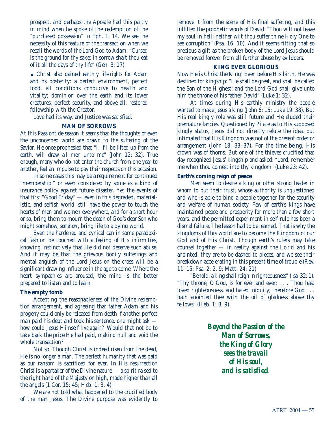prospect, and perhaps the Apostle had this partly in mind when he spoke of the redemption of the "purchased possession" in Eph. 1: 14. We see the necessity of this feature of the transaction when we recall the words of the Lord God to Adam: "Cursed is the ground for thy sake; in sorrow shalt thou eat of it all the days of thy life" (Gen. 3: 17).

 Christ also gained earthly *life-rights* for Adam and hs posterity: a perfect environment, perfect food, all conditions conducive to health and vitality; dominion over the earth and its lower creatures; perfect security, and above all, restored fellowship with the Creator.

Love had its way, and Justice was satisfied.

#### **MAN OF SORROWS**

At this Passiontide season it seems that the thoughts of even the unconcerned world are drawn to the suffering of the Savior. He once prophesied that "I, if I be lifted up from the earth, will draw all men unto me" (John 12: 32). True enough, many who do not enter the church from one year to another, feel an impulse to pay their respects on this occasion.

In some cases this may be a requirement for continued "membership," or even considered by some as a kind of insurance policy against future disaster. Yet the events of that first "Good Friday" — even in this degraded, materialistic, and selfish world, still have the power to touch the hearts of men and women everywhere, and for a short hour or so, bring them to mourn the death of God's dear Son who might somehow, *somehow*, bring life to a dying world.

Even the hardened and cynical can in some paradoxical fashion be touched with a feeling of *His* infirmities, knowing instinctively that He did not deserve such abuse. And it may be that the grievous bodily sufferings and mental anguish of the Lord Jesus on the cross will be a significant drawing influence in the age to come. Where the heart sympathies are aroused, the mind is the better prepared to listen and to learn.

# **The empty tomb**

Accepting the reasonableness of the Divine redemption arrangement, and agreeing that father Adam and his progeny could only be released from death if another perfect man paid his debt and took his sentence, one might ask how could Jesus Himself *live again?* Would that not be to take back the price He had paid, making null and void the whole transaction?

Not so! Though Christ is indeed risen from the dead, He is no longer a man. The perfect humanity that was paid as our ransom is sacrificed for ever. In His resurrection Christ is a partaker of the Divine nature — a spirit raised to the right hand of the Majesty on high, made higher than all the angels (1 Cor. 15: 45; Heb. 1: 3, 4).

We are not told what happened to the crucified body of the man Jesus. The Divine purpose was evidently to remove it from the scene of His final suffering, and this fulfilled the prophetic words of David: "Thou wilt not leave my soul in hell; neither wilt thou suffer thine Holy One to see corruption" (Psa. 16: 10). And it seems fitting that so precious a gift as the broken body of the Lord Jesus should be removed forever from all further abuse by evildoers.

## **KING EVER GLORIOUS**

Now He is Christ the King! Even before His birth, He was destined for kingship: "He shall be great, and shall be called the Son of the Highest: and the Lord God shall give unto him the throne of his father David" (Luke 1: 32).

At times during His earthly ministry the people wanted to make Jesus a king (John 6: 15; Luke 19: 38). But His real kingly role was still future and He eluded their premature fancies. Questioned by Pilate as to His supposed kingly status, Jesus did not directly refute the idea, but intimated that His Kingdom was not of the present order or arrangement (John 18: 33–37). For the time being, His crown was of thorns. But one of the thieves crucified that day recognized Jesus' kingship and asked: "Lord, remember me when thou comest into thy kingdom" (Luke 23: 42).

# **Earth's coming reign of peace**

Men seem to desire a king or other strong leader in whom to put their trust, whose authority is unquestioned and who is able to bind a people together for the security and welfare of human society. Few of earth's kings have maintained peace and prosperity for more than a few short years, and the permitted experiment in self-rule has been a dismal failure. The lesson had to be learned. That is why the kingdoms of this world are to become the Kingdom of our God and of His Christ. Though earth's rulers may take counsel together — in reality against the Lord and his anointed, they are to be dashed to pieces, and we see their breakdown accelerating in this present time of trouble (Rev. 11: 15; Psa. 2: 2, 9; Matt. 24: 21).

"Behold, a king shall reign in righteousness" (Isa. 32: 1). "Thy throne, O God, is for ever and ever: . . . Thou hast loved righteousness, and hated iniquity; therefore God . . . hath anointed thee with the oil of gladness above thy fellows" (Heb. 1: 8, 9).

> *Beyond the Passion of the Man of Sorrows, the King of Glory sees the travail of His soul, and is satisfied*.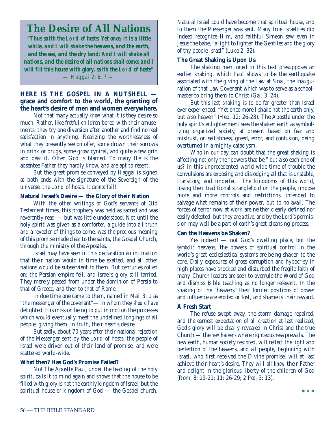# **The Desire of All Nations**

*"Thus saith the* **Lord** *of hosts: Yet once, it is a little while, and I will shake the heavens, and the earth, and the sea, and the dry land; And I will shake all nations, and the desire of all nations shall come: and I will fill this house with glory, saith the* **Lord** *of hosts"* — Haggai 2: 6, 7 —

# **HERE IS THE GOSPEL IN A NUTSHELL grace and comfort to the world, the granting of the heart's desire of men and women everywhere.**

Not that many actually *know* what it is they desire so much. Rather, like fretful children bored with their amusements, they try one diversion after another and find no real satisfaction in anything. Realizing the worthlessness of what they presently see on offer, some drown their sorrows in drink or drugs, some grow cynical, and quite a few grin and bear it. Often God is blamed. To many He is the absentee Father they hardly know, and are apt to resent.

But the great promise conveyed by Haggai is signed at both ends with the signature of the Sovereign of the universe, the Lord of hosts. *It cannot fail!*

# **Natural Israel's Desire — the Glory of their Nation**

With the other writings of God's servants of Old Testament times, this prophecy was held as sacred and was reverently read — but was little understood. Not until the holy spirit was given as a comforter, a guide into all truth and a revealer of things to come, was the precious meaning of this promise made clear to the saints, the Gospel Church, through the ministry of the Apostles.

Israel may have seen in this declaration an intimation that their nation would in time be exalted, and all other nations would be subservient to them. But centuries rolled on; the Persian empire fell, and Israel's glory still tarried. They merely passed from under the dominion of Persia to that of Greece, and then to that of Rome.

In due time one came to them, named in Mal. 3: 1 as "the messenger of the covenant"— in whom they *should have* delighted, His mission being to put in motion the processes which would eventually meet the undefined longings of all people, giving them, in truth, their heart's desire.

But sadly, about 70 years after their national rejection of the Messenger sent by the Lord of hosts, the people of Israel were driven out of their land of promise, and were scattered world-wide.

# **What then? Has God's Promise Failed?**

No! The Apostle Paul, under the leading of the holy spirit, calls it to mind again and shows that the house to be filled with glory is not the earthly kingdom of Israel, but the spiritual house or kingdom of God — the Gospel church.

Natural Israel could have become that spiritual house, and to them the Messenger was sent. Many true Israelites did indeed recognize Him, and faithful Simeon saw even in Jesus the babe, "a light to lighten the Gentiles and the glory of thy people Israel" (Luke 2: 32).

# **The Great Shaking is Upon Us**

The shaking mentioned in this text presupposes an earlier shaking, which Paul shows to be the earthquake associated with the giving of the Law at Sinai, the inauguration of that Law Covenant which was to serve as a schoolmaster to bring them to Christ (Gal. 3: 24).

But this last shaking is to be far greater than Israel ever experienced. "Yet once more I shake not the earth only, but also heaven" (Heb. 12: 26-28). The Apostle under the holy spirit's enlightenment sees the shaken earth as symbolizing organized society, at present based on fear and mistrust, on selfishness, greed, error, and confusion, being overturned in a mighty cataclysm.

Who in our day can doubt that the great shaking is affecting not only the "powers that be," but also each one of us? In this unprecedented world-wide time of trouble the convulsions are exposing and dislodging all that is unstable, transitory, and imperfect. The kingdoms of this world, losing their traditional stranglehold on the people, impose more and more controls and restrictions, intended to salvage what remains of their power, but to no avail. The forces of terror now at work are neither clearly defined nor easily defeated, but they are *active*, and by the Lord's permission may well be a part of earth's great cleansing process.

#### **Can the Heavens be Shaken?**

Yes indeed! — not God's dwelling place, but the *symbolic* heavens, the powers of spiritual control in the world's great ecclesiastical systems are being shaken to the core. Daily exposures of gross corruption and hypocrisy in high places have shocked and disturbed the fragile faith of many. Church leaders are seen to overrule the Word of God and dismiss Bible teaching as no longer relevant. In the shaking of the "heavens" their former positions of power and influence are eroded or lost, and shame is their reward.

#### **A Fresh Start**

The refuse swept away, the storm damage repaired, and the earnest expectation of all creation at last realized, God's glory will be clearly revealed in Christ and the true Church — the *new heavens* where righteousness prevails. The new earth, human society restored, will reflect the light and perfection of the heavens, and all people, beginning with Israel, who first received the Divine promise, will at last achieve their heart's desire. They will all *know* their Father and delight in the glorious liberty of the children of God (Rom. 8: 19-21; 11: 26-29; 2 Pet. 3: 13).

**\*\*\***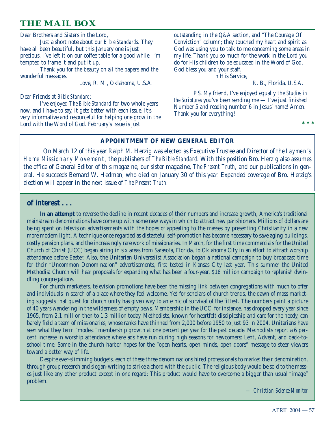# **THE MAIL BOX**

Dear Brothers and Sisters in the Lord,

Just a short note about our *Bible Standards*. They have all been beautiful, but this January one is just precious. I've left it on our coffee table for a good while. I'm tempted to frame it and put it up.

Thank you for the beauty on all the papers and the wonderful messages.

Love, R. M., Oklahoma, U.S.A.

Dear Friends at *Bible Standard:*

I've enjoyed *The Bible Standard* for two whole years now, and I have to say, it gets better with each issue. It's very informative and resourceful for helping one grow in the Lord with the Word of God. February's issue is just

outstanding in the Q&A section, and "The Courage Of Conviction" column; they touched my heart and spirit as God was using you to talk to me concerning some areas in my life. Thank you so much for the work in the Lord you do for His children to be educated in the Word of God. God bless you and your staff.

In His Service,

R. B., Florida, U.S.A.

P.S. My friend, I've enjoyed equally the *Studies in the Scriptures* you've been sending me — I've just finished Number 5 and reading number 6 in Jesus' name! Amen. Thank you for everything!

**\*\*\***

# **APPOINTMENT OF NEW GENERAL EDITOR**

On March 12 of this year Ralph M. Herzig was elected as Executive Trustee and Director of the Laymen's Home Missionary Movement, the publishers of *The Bible Standard.* With this position Bro. Herzig also assumes the office of General Editor of this magazine, our sister magazine, *The Present Truth,* and our publications in general. He succeeds Bernard W. Hedman, who died on January 30 of this year. Expanded coverage of Bro. Herzig's election will appear in the next issue of *The Present Truth.*

# **of interest . . .**

I**n an attempt** to reverse the decline in recent decades of their numbers and increase growth, America's traditional mainstream denominations have come up with some new ways in which to attract new parishioners. Millions of dollars are being spent on television advertisements with the hopes of appealing to the masses by presenting Christianity in a new more modern light. A technique once regarded as distasteful self-promotion has become necessary to save aging buildings, costly pension plans, and the increasingly rare work of missionaries. In March, for the first time commercials for the United Church of Christ (UCC) began airing in six areas from Sarasota, Florida, to Oklahoma City in an effort to attract worship attendance before Easter. Also, the Unitarian Universalist Association began a national campaign to buy broadcast time for their "Uncommon Denomination" advertisements, first tested in Kansas City last year. This summer the United Methodist Church will hear proposals for expanding what has been a four-year, \$18 million campaign to replenish dwindling congregations.

For church marketers, television promotions have been the missing link between congregations with much to offer and individuals in search of a place where they feel welcome. Yet for scholars of church trends, the dawn of mass marketing suggests that quest for church unity has given way to an ethic of survival of the fittest. The numbers paint a picture of 40 years wandering in the wilderness of empty pews. Membership in the UCC, for instance, has dropped every year since 1965, from 2.1 million then to 1.3 million today. Methodists, known for heartfelt discipleship and care for the needy, can barely field a team of missionaries, whose ranks have thinned from 2,000 before 1950 to just 93 in 2004. Unitarians have seen what they term "modest" membership growth at one percent per year for the past decade. Methodists report a 6 percent increase in worship attendance where ads have run during high seasons for newcomers: Lent, Advent, and back-toschool time. Some in the church harbor hopes for the "open hearts, open minds, open doors" message to steer viewers toward a better way of life.

Despite ever-slimming budgets, each of these three denominations hired professionals to market their denomination, through group research and slogan-writing to strike a chord with the public. The religious body would be sold to the masses just like any other product except in one regard: This product would have to overcome a bigger than usual "image" problem.

*— Christian Science Monitor*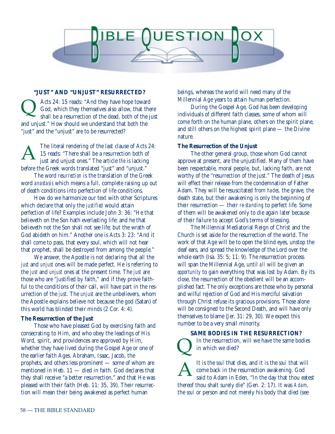

# **"JUST" AND "UNJUST" RESURRECTED?**

Acts 24: 15 reads: "And they have hope toward God, which they themselves also allow, that there shall be a resurrection of the dead, both of the just and unjust." How should we understand that both the "just" and the "unjust" are to be resurrected?  $\overline{\mathsf{Q}}$ 

The literal rendering of the last clause of Acts 24: 15 reads: "There shall be a resurrection both of just and unjust ones." The article *the* is lacking before the Greek words translated "just" and "unjust." A

The word *resurrection* is the translation of the Greek word *anastasis* which means a full, complete raising up out of death conditions into perfection of life conditions.

How do we harmonize our text with other Scriptures which declare that only the *justified* would attain perfection of life? Examples include John 3: 36: "He that believeth on the Son hath everlasting life: and he that believeth not the Son shall not see life; but the wrath of God abideth on him." Another one is Acts 3: 23: "And it shall come to pass, that every soul, which will not hear that prophet, shall be destroyed from among the people."

We answer, the Apostle is not declaring that all the *just* and *unjust* ones will be made perfect. He is referring to the *just* and *unjust* ones at the present time. The *just* are those who are "justified by faith," and if they prove faithful to the conditions of their call, will have part in the resurrection of the *jus*t. The *unjust* are the unbelievers, whom the Apostle explains believe not because the god (Satan) of this world has blinded their minds (2 Cor. 4: 4).

#### **The Resurrection of the Just**

Those who have pleased God by exercising faith and consecrating to Him, and who obey the leadings of His Word, spirit, and providences are approved by Him, whether they have lived during the Gospel Age or one of the earlier faith Ages. Abraham, Isaac, Jacob, the prophets, and others less prominent — some of whom are mentioned in Heb. 11 — died in faith. God declares that they shall receive "a better resurrection," and that He was pleased with their faith (Heb. 11: 35, 39). Their resurrection will mean their being awakened as perfect human

beings, whereas the world will need many of the Millennial Age years to attain human perfection.

During the Gospel Age, God has been developing individuals of different faith classes, some of whom will come forth on the human plane, others on the spirit plane, and still others on the highest spirit plane — the Divine nature.

#### **The Resurrection of the Unjust**

The other general group, those whom God cannot approve at present, are the unjustified. Many of them have been respectable, moral people, but, lacking faith, are not worthy of the "resurrection of the just." The death of Jesus will effect their release from the condemnation of Father Adam. They will be resuscitated from *hades,* the grave, the death state, but their awakening is only the beginning of their resurrection — their *re-standing* to perfect life. Some of them will be awakened only to die again later because of their failure to accept God's terms of blessing.

The Millennial Mediatorial Reign of Christ and the Church is set aside for the resurrection of the world. The work of that Age will be to open the blind eyes, unstop the deaf ears, and spread the knowledge of the Lord over the whole earth (Isa. 35: 5; 11: 9). The resurrection process will span the Millennial Age, until *all* will be given an *opportunity* to gain everything that was lost by Adam. By its close, the resurrection of the obedient will be an accomplished fact. The only exceptions are those who by personal and wilful rejection of God and His merciful salvation through Christ refuse its gracious provisions. Those alone will be consigned to the Second Death, and will have only themselves to blame (Jer. 31: 29, 30). We expect this number to be a very small minority.

# **SAME BODIES IN THE RESURRECTION?**

 $\overline{\mathsf{Q}}$ 

In the resurrection, will we have the same bodies in which we died?

It is the *soul* that dies, and it is the *soul* that will come back in the resurrection awakening. God said to Adam in Eden, "In the day that thou eatest thereof thou shalt surely die" (Gen. 2: 17). It was *Adam,* the *soul* or person and not merely his body that died (see A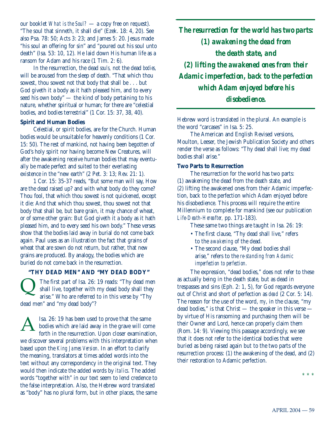our booklet *What is the Soul?* — a copy free on request). "The soul that sinneth, it shall die" (Ezek. 18: 4, 20). See also Psa. 78: 50; Acts 3: 23; and James 5: 20. Jesus made "his soul an offering for sin" and "poured out his soul unto death" (Isa. 53: 10, 12). He laid down His human life as a ransom for Adam and his race (1 Tim. 2: 6).

In the resurrection, the dead *souls,* not the dead *bodies,* will be aroused from the sleep of death. "That which thou sowest, thou sowest not that body that shall be . . . but God giveth it a body as it hath pleased him, and to every seed his own body" — the kind of body pertaining to his nature, whether spiritual or human; for there are "celestial bodies, and bodies terrestrial" (1 Cor. 15: 37, 38, 40).

# **Spirit and Human Bodies**

Celestial, or spirit bodies, are for the Church. Human bodies would be unsuitable for heavenly conditions (1 Cor. 15: 50). The rest of mankind, not having been begotten of God's holy spirit nor having become New Creatures, will after the awakening receive human bodies that may eventually be made perfect and suited to their everlasting existence in the "new earth" (2 Pet. 3: 13; Rev. 21: 1).

1 Cor. 15: 35-37 reads, "But some man will say, How are the dead raised up? and with what body do they come? Thou fool, that which thou sowest is not quickened, except it die: And that which thou sowest, thou sowest not that body that shall be, but bare grain, it may chance of wheat, or of some other grain: But God giveth it a body as it hath pleased him, and to every seed his own body." These verses show that the bodies laid away in burial do not come back again. Paul uses as an illustration the fact that grains of wheat that are sown do not return, but rather, that new grains are produced. By analogy, the bodies which are buried do not come back in the resurrection.

# **"THY DEAD MEN" AND "MY DEAD BODY"**

The first part of Isa. 26: 19 reads: "Thy dead men shall live, together with my dead body shall they arise." Who are referred to in this verse by "Thy dead men" and "my dead body"?  $\overline{\mathsf{Q}}$ 

Isa. 26: 19 has been used to prove that the same bodies which are laid away in the grave will come forth in the resurrection. Upon closer examination, we discover several problems with this interpretation when based upon the *King James Version*. In an effort to clarify the meaning, translators at times added words into the text without any correspondency in the original text. They would then indicate the added words by *italics*. The added words "together with" in our text seem to lend credence to the false interpretation. Also, the Hebrew word translated as "body" has no plural form, but in other places, the same A

*The resurrection for the world has two parts: (1) awakening the dead from the death state, and (2) lifting the awakened ones from their Adamic imperfection, back to the perfection which Adam enjoyed before his disobedience.*

Hebrew word is translated in the plural. An example is the word "carcases" in Isa. 5: 25.

The American and English Revised versions, Moulton, Leeser, the Jewish Publication Society and others render the verse as follows: "Thy dead shall live; my dead bodies shall arise."

# **Two Parts to Resurrection**

The resurrection for the world has two parts: (1) awakening the dead from the death state, and (2) lifting the awakened ones from their Adamic imperfection, back to the perfection which Adam enjoyed before his disobedience. This process will require the entire Millennium to complete for mankind (see our publication *Life-Death-Hereafter,* pp. 171-183).

These same two things are taught in Isa. 26: 19:

- The first clause, "Thy dead shall live," refers to the *awakening* of the dead.
- The second clause, "My dead bodies shall arise," refers to the *re-standing from Adamic imperfection to perfection*.

The expression, "dead bodies," does not refer to these as actually being in the death state, but as dead in trespasses and sins (Eph. 2: 1, 5), for God regards everyone out of Christ and short of perfection as *dead* (2 Cor. 5: 14). The reason for the use of the word, *my*, in the clause, "my dead bodies," is that Christ — the speaker in this verse by virtue of His ransoming and purchasing them will be their Owner and Lord, hence can properly claim them (Rom. 14: 9). Viewing this passage accordingly, we see that it does not refer to the identical bodies that were buried as being raised again but to the two parts of the resurrection process: (1) the awakening of the dead, and (2) their restoration to Adamic perfection.

\* \* \*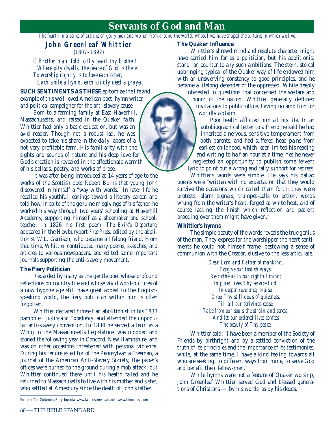# **Servants of God and Man**

*The fourth in a series of articles on godly men and women from around the world, whose lives have shaped the cultures in which we live.*

# **John Greenleaf Whittier** (1807–1892)

*O Brother man, fold to thy heart thy brother! Where pity dwells, the peace of God is there; To worship rightly is to love each other, Each smile a hymn, each kindly deed a prayer.*

**SUCH SENTIMENTS AS THESE** epitomize the life and example of this well-loved American poet, hymn writer, and political campaigner for the anti-slavery cause.

Born to a farming family at East Haverhill, Massachusetts, and raised in the Quaker faith, Whittier had only a basic education, but was an avid reader. Though not a robust lad, he was expected to take his share in the daily labors of a not-very-profitable farm. His familiarity with the sights and sounds of nature and his deep love for God's creation is revealed in the affectionate warmth of his ballads, poetry, and works of prose.

It was after being introduced at 14 years of age to the works of the Scottish poet Robert Burns that young John discovered in himself a "way with words." In later life he recalled his youthful leanings toward a literary career, and told how, in spite of the genuine misgivings of his father, he worked his way through two years' schooling at Haverhill Academy, supporting himself as a shoemaker and schoolteacher. In 1826 his first poem, *The Exile's Departure*, appeared in the Newburyport *Free Press*, edited by the abolitionist W.L. Garrison, who became a lifelong friend. From that time, Whittier contributed many poems, sketches, and articles to various newspapers, and edited some important journals supporting the anti-slavery movement.

# **The Fiery Politician**

Regarded by many as the gentle poet whose profound reflections on country life and whose vivid word-pictures of a now bygone age still have great appeal to the Englishspeaking world, the fiery politician within him is often forgotten.

Whittier declared himself an abolitionist in his 1833 pamphlet, *Justice and Expediency*, and attended the unpopular anti-slavery convention. In 1834 he served a term as a Whig in the Massachusetts Legislature, was mobbed and stoned the following year in Concord, New Hampshire, and was on other occasions threatened with personal violence. During his tenure as editor of the Pennsylvania Freeman, a journal of the American Anti-Slavery Society, the paper's offices were burned to the ground during a mob attack, but Whittier continued there until his health failed and he returned to Massachusetts to live with his mother and sister, who settled at Amesbury since the death of John's father.

Sources: The Columbia Encyclopedia; www.famousamericans.net; www.kimopress.com

#### **The Quaker Influence**

Whittier's shrewd mind and resolute character might have carried him far as a politician, but his abolitionist stand ran counter to any such ambitions. The stern, stoical upbringing typical of the Quaker way of life endowed him with an unswerving constancy to good principles, and he became a lifelong defender of the oppressed. While deeply

interested in questions that concerned the welfare and honor of the nation, Whittier generally declined invitations to public office, having no ambition for worldly acclaim.

Poor health afflicted him all his life. In an autobiographical letter to a friend he said he had inherited a nervous, sensitive temperament from both parents, and had suffered head pains from earliest childhood, which later limited his reading and writing to half an hour at a time. Yet he never neglected an opportunity to publish some fervent lyric to point out a wrong and rally support for redress.

Whittier's words were simple. He says his ballad poems were "written with no expectation that they would survive the occasions which called them forth; they were protests, alarm signals, trumpet-calls to action, words wrung from the writer's heart, forged at white heat, and of course lacking the finish which reflection and patient brooding over them might have given."

# **Whittier's hymns**

The simple beauty of the words reveals the true genius of the man. They express for the worshipper the heart sentiments he could not himself frame, bestowing a sense of communion with the Creator, elusive to the less articulate.

> *Dear Lord and Father of mankind, Forgive our foolish ways; Re-clothe us in our rightful mind; In purer lives Thy service find, In deeper reverence, praise. Drop Thy still dews of quietness, Till all our strivings cease; Take from our souls the strain and stress, And let our ordered lives confess The beauty of Thy peace.*

Whittier said: "I have been a member of the Society of Friends by birthright and by a settled conviction of the truth of its principles and the importance of its testimonies, while, at the same time, I have a kind feeling towards all who are seeking, in different ways from mine, to serve God and benefit their fellow-men."

While hymns were not a feature of Quaker worship, John Greenleaf Whittier served God and blessed generations of Christians — by his words, as by his deeds.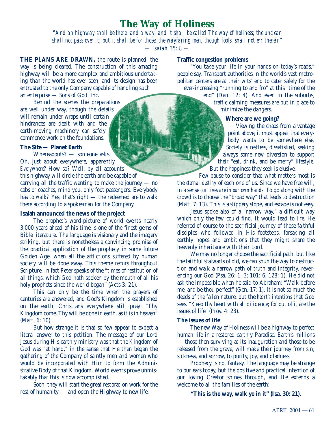# **The Way of Holiness**

*"And an highway shall be there, and a way, and it shall be called The way of holiness; the unclean shall not pass over it; but it shall be for those: the wayfaring men, though fools, shall not err therein"*

— Isaiah 35: 8 —

**THE PLANS ARE DRAWN,** the route is planned, the way is being cleared. The construction of this amazing highway will be a more complex and ambitious undertaking than the world has ever seen, and its design has been entrusted to the only Company capable of handling such an enterprise — Sons of God, Inc.

Behind the scenes the preparations are well under way, though the details will remain under wraps until certain hindrances are dealt with and the earth-moving machinery can safely commence work on the foundations.

# **The Site — Planet Earth**

Whereabouts? — someone asks. Oh, just about everywhere, apparently. *Everywhere*? How so? Well, by all accounts this highway will circle the earth and be capable of carrying all the traffic wanting to make the journey — no cabs or coaches, mind you, only foot passengers. Everybody has to *walk?* Yes, that's right — the redeemed are to walk there according to a spokesman for the Company.

# **Isaiah announced the news of the project**

The prophet's word-picture of world events nearly 3,000 years ahead of his time is one of the finest gems of Bible literature. The language is visionary and the imagery striking, but there is nonetheless a convincing promise of the practical application of the prophecy in some future Golden Age, when all the afflictions suffered by human society will be done away. This theme recurs throughout Scripture. In fact Peter speaks of the "times of restitution of all things, which God hath spoken by the mouth of all his holy prophets since the world began" (Acts 3: 21).

This can only be the time when the prayers of centuries are answered, and God's Kingdom is established on the earth. Christians everywhere still pray: "Thy Kingdom come. Thy will be done in earth, as it is in heaven" (Matt. 6: 10).

But how strange it is that so few appear to expect a literal answer to this petition. The message of our Lord Jesus during His earthly ministry was that the Kingdom of God was "at hand," in the sense that He then began the gathering of the Company of saintly men and women who would be incorporated with Him to form the Administrative Body of that Kingdom. World events prove unmistakably that this is now accomplished.

Soon, they will start the great restoration work for the rest of humanity — and open the Highway to new life.

#### **Traffic congestion problems**

"You take your life in your hands on today's roads," people say. Transport authorities in the world's vast metropolitan centers are at their wits' end to cater safely for the ever-increasing "running to and fro" at this "time of the

> end" (Dan. 12: 4). And even in the suburbs, traffic calming measures are put in place to minimize the dangers.

## **Where are we going?**

Viewing the chaos from a vantage point above, it must appear that everybody wants to be somewhere else. Society is restless, dissatisfied, seeking always some new diversion to support their "eat, drink, and be merry" lifestyle. But the happiness they seek is elusive.

Few pause to consider that what matters most is the *eternal destiny* of each one of us. Since we have free will, in a sense *our lives are in our own hands*. To go along with the crowd is to choose the "broad way" that leads to destruction (Matt. 7: 13). This is a slippery slope, and escape is not easy.

Jesus spoke also of a "narrow way," a difficult way which only the few could find. It would lead to *life*. He referred of course to the sacrificial journey of those faithful disciples who followed in His footsteps, forsaking all earthly hopes and ambitions that they might share the heavenly inheritance with their Lord.

We may no longer choose the sacrificial path, but like the faithful stalwarts of old, we can shun the way to destruction and walk a narrow path of truth and integrity, reverencing our God (Psa. 26: 1, 3; 101: 6; 128: 1). He did not ask the impossible when he said to Abraham: "Walk before me, and be thou perfect" (Gen. 17: 1). It is not so much the deeds of the fallen nature, but the *heart's intentions* that God sees. "Keep thy heart with all diligence; for out of it are the issues of life" (Prov. 4: 23).

# **The issues of life**

The new Way of Holiness will be a highway to perfect human life in a restored earthly Paradise. Earth's millions — those then surviving at its inauguration and those to be released from the grave, will make their journey from sin, sickness, and sorrow, to purity, joy, and gladness.

Prophecy is not fantasy. The language may be strange to our ears today, but the positive and practical intention of our loving Creator shines through, and He extends a welcome to all the families of the earth:

**"This is the way, walk ye in it" (Isa. 30: 21).**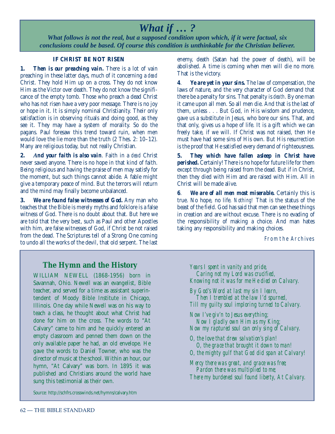# *What if … ?*

*What follows is not the real, but a supposed condition upon which, if it were factual, six conclusions could be based. Of course this condition is unthinkable for the Christian believer.*

# **IF CHRIST BE NOT RISEN**

**1.** *Then is our preaching vain.* There is a lot of vain preaching in these latter days, much of it concerning a *dead* Christ. They hold Him up on a cross. They do not know Him as the Victor over death. They do not know the significance of the empty tomb. Those who preach a dead Christ who has not risen have a very poor message. There is no joy or hope in it. It is simply nominal Christianity. Their only satisfaction is in observing rituals and doing good, as they see it. They may have a system of morality. So do the pagans. Paul foresaw this trend toward ruin, when men would love the lie more than the truth (2 Thes. 2: 10–12). Many are religious today, but not really Christian.

**2.** *And your faith is also vain*. Faith in a *dead* Christ never saved anyone. There is no hope in that kind of faith. Being religious and having the praise of men may satisfy for the moment, but such things cannot abide. A fable might give a temporary peace of mind. But the terrors will return and the mind may finally become unbalanced.

**3.** *We are found false witnesses of God.* Any man who teaches that the Bible is merely myths and folklore is a false witness of God. There is no doubt about that. But here we are told that the very best, such as Paul and other Apostles with him, are false witnesses of God, if Christ be not raised from the dead. The Scriptures tell of a Strong One coming to undo all the works of the devil, that old serpent. The last

enemy, death (Satan had the power of death), will be abolished. A time is coming when men will die no more. That is the victory.

**4**. *Ye are yet in your sins.* The law of compensation, the laws of nature, and the very character of God demand that there be a penalty for sins. That penalty is *death*. By one man it came upon all men. So all men die. And that is the last of them, unless . . . But God, in His wisdom and prudence, gave us a substitute in Jesus, who bore our sins. That, and that only, gives us a hope of life. It is a gift which we can freely take, if we will. If Christ was not raised, then He must have had some sins of His own. But His resurrection is the proof that He satisfied every demand of righteousness.

**5.** *They which have fallen asleep in Christ have perished.* Certainly! There is no hope for future life for them except through being raised from the dead. But if in Christ, then they died with Him and are raised with Him. All in Christ will be made alive.

**6**. *We are of all men most miserable.* Certainly this is true. No hope, no life. *Nothing!* That is the status of the beast of the field. God has said that men can see these things in creation and are without excuse. There is no evading of the responsibility of making a choice. And man hates taking any responsibility and making choices.

# From the Archives

# **The Hymn and the History**

WILLIAM NEWELL (1868-1956) born in Savannah, Ohio. Newell was an evangelist, Bible teacher, and served for a time as assistant superintendent of Moody Bible Institute in Chicago, Illinois. One day while Newell was on his way to teach a class, he thought about what Christ had done for him on the cross. The words to "At Calvary" came to him and he quickly entered an empty classroom and penned them down on the only available paper he had, an old envelope. He gave the words to Daniel Towner, who was the director of music at the school. Within an hour, our hymn, "At Calvary" was born. In 1895 it was published and Christians around the world have sung this testimonial as their own.

*Years I spent in vanity and pride, Caring not my Lord was crucified, Knowing not it was for me He died on Calvary.*

*By God's Word at last my sin I learn, Then I trembled at the law I'd spurned, Till my guilty soul imploring turned to Calvary.*

*Now I've giv'n to Jesus everything; Now I gladly own Him as my King; Now my raptured soul can only sing of Calvary.*

*O, the love that drew salvation's plan! O, the grace that brought it down to man! O, the mighty gulf that God did span at Calvary!*

*Mercy there was great, and grace was free; Pardon there was multiplied to me; There my burdened soul found liberty, At Calvary.*

Source: http://schfrs.crosswinds.net/hymns/calvary.htm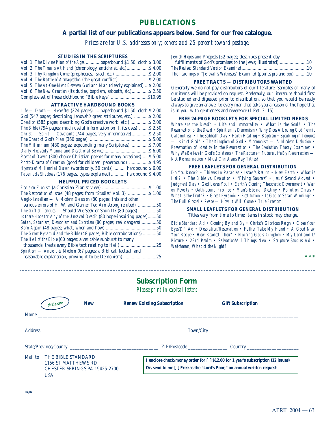# **PUBLICATIONS**

# **A partial list of our publications appears below. Send for our free catalogue.**

*Prices are for U.S. addresses only; others add 25 percent toward postage.*

#### **STUDIES IN THE SCRIPTURES**

| Vol. 1, The Divine Plan of the Ages  paperbound \$1.50, cloth \$3.00     |  |
|--------------------------------------------------------------------------|--|
| Vol. 2, The Time Is At Hand (chronology, antichrist, etc.) \$4.00        |  |
|                                                                          |  |
| Vol. 4, The Battle of Armageddon (the great conflict)  \$ 2.00           |  |
| Vol. 5, The At-One-Ment Between God and Man (clearly explained)  \$ 2.00 |  |
| Vol. 6, The New Creation (its duties, baptism, sabbath, etc.) \$2.50     |  |
| Complete set of these clothbound "Bible keys" \$10.95                    |  |

#### **ATTRACTIVE HARDBOUND BOOKS**

| Life — Death — Hereafter (224 pages)  paperbound \$1.50, cloth \$2.00  |
|------------------------------------------------------------------------|
| God (547 pages; describing Jehovah's great attributes, etc.)  \$2.00   |
| Creation (585 pages; describing God's creative work, etc.) \$2.00      |
| The Bible (794 pages; much useful information on it, its uses)  \$2.50 |
| Christ - Spirit - Covenants (744 pages, very informative)  \$2.50      |
|                                                                        |
| The Millennium (480 pages; expounding many Scriptures)  \$7.00         |
|                                                                        |
| Poems of Dawn (300 choice Christian poems for many occasions) \$5.00   |
| <i>Photo-Drama of Creation</i> (good for children; paperbound)  \$4.95 |
| Hymns of Millennial Dawn (words only, 50 cents)  hardbound \$ 6.00     |
| Tabernacle Shadows (176 pages, types explained)  hardbound \$4.00      |
|                                                                        |

#### **HELPFUL PRICED BOOKLETS**

| Anglo-Israelism — A Modern Delusion (80 pages; this and other          |     |
|------------------------------------------------------------------------|-----|
| serious errors of H. W. and Garner Ted Armstrong refuted) 50           |     |
| <i>The Gift of Tongues</i> — Should We Seek or Shun It? (80 pages) 50  |     |
| Is there Hope for Any of the Unsaved Dead? (80 hope-inspiring pages)50 |     |
| <i>Satan, Satanism, Demonism and Exorcism</i> (80 pages; real dangers) | .50 |
|                                                                        |     |
| The Great Pyramid and the Bible (48 pages; Bible corroborations) 50    |     |
| The Hell of the Bible (60 pages; a veritable sunburst to many          |     |
| thousands; treats every Bible text relating to Hell)                   | .25 |
| Spiritism - Ancient & Modern (67 pages; a Biblical, factual, and       |     |
| reasonable explanation, proving it to be Demonism)                     | .25 |

| Jewish Hopes and Prospects (52 pages; describes present-day             |  |
|-------------------------------------------------------------------------|--|
|                                                                         |  |
|                                                                         |  |
| The Teachings of "Jehovah's Witnesses" Examined (points pro and con) 10 |  |

#### **FREE TRACTS — DISTRIBUTORS WANTED**

Generally we do not pay distributors of our literature. Samples of many of our items will be provided on request. Preferably, our literature should first be studied and digested prior to distribution, so that you would be ready always to give an answer to every man that asks you a reason of the hope that is in you, with gentleness and reverence (1 Pet. 3: 15).

#### **FREE 24-PAGE BOOKLETS FOR SPECIAL LIMITED NEEDS**

*Where are the Dead? • Life and Immortality • What is the Soul? • The Resurrection of the Dead • Spiritism is Demonism • Why Does A Loving God Permit Calamities? • The Sabbath Day • Faith Healing • Baptism • Speaking in Tongues — Is it of God? • The Kingdom of God • Mormonism — A Modern Delusion • Preservation of Identity in the Resurrection • The Evolution Theory Examined • Why We Believe in God's Existence • The Rapture • Future Life By Resurrection — Not Reincarnation • Must Christians Pay Tithes?*

#### **FREE LEAFLETS FOR GENERAL DISTRIBUTION**

*Do You Know? • Thieves In Paradise • Israel's Return • New Earth • What is Hell? • The Bible vs. Evolution • "Flying Saucers" • Jesus' Second Advent • Judgment Day • God Loves You! • Earth's Coming Theocratic Government • War on Poverty • Oath-bound Promise • Man's Eternal Destiny • Pollution Crisis • What is the Truth? • Great Pyramid • Restitution • Is God or Satan Winning? • The Full Gospel • Peace — How it Will Come • True Freedom*

#### **SMALL LEAFLETS FOR GENERAL DISTRIBUTION** Titles vary from time to time; items in stock may change.

*Bible Standard Ad • Coming By and By • Christ's Glorious Reign • Close Your Eyes/DP Ad • Desolation/Restoration • Father Take My Hand • A Good New Year Recipe • How Readest Thou? • Nearing God's Kingdom • My Lord and I/ Picture • 23rd Psalm • Salvation/All Things New • Scripture Studies Ad • Watchman, What of the Night?*

| × | ۰<br>W<br>× | × |
|---|-------------|---|
|   |             |   |

# **Subscription Form** *Please print in capital letters*

| <b>New</b><br>circle one                                                                            | <b>Renew Existing Subscription</b><br><b>Gift Subscription</b>                                                                                               |  |
|-----------------------------------------------------------------------------------------------------|--------------------------------------------------------------------------------------------------------------------------------------------------------------|--|
| Name<br><u> 1980 - Jan Samuel Barbara, martin al-Amerikaansk filosof (d. 1980)</u>                  |                                                                                                                                                              |  |
|                                                                                                     |                                                                                                                                                              |  |
|                                                                                                     |                                                                                                                                                              |  |
| THE BIBLE STANDARD<br>Mail to<br>1156 ST MATTHEWS RD<br>CHESTER SPRINGS PA 19425-2700<br><b>USA</b> | I enclose check/money order for [ ] \$12.00 for 1 year's subscription (12 issues)<br>Or, send to me [ ] Free as the "Lord's Poor," on annual written request |  |